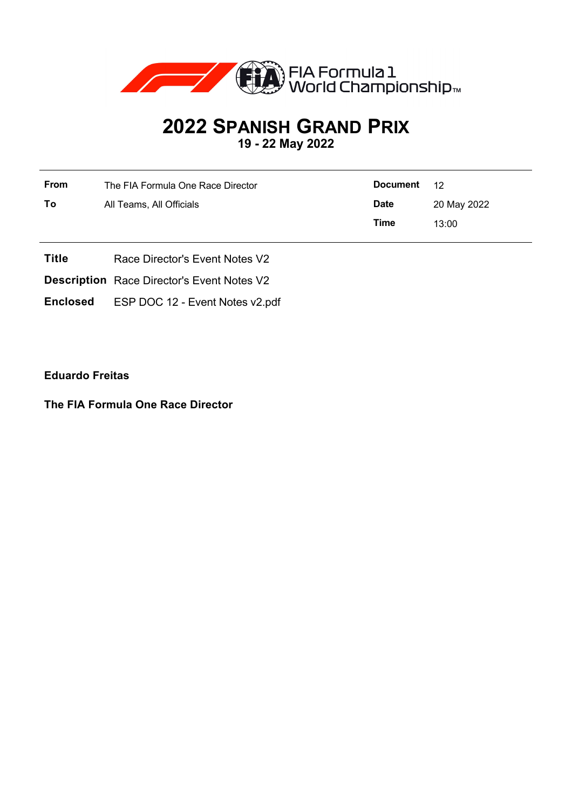

# **2022 SPANISH GRAND PRIX**

**19 - 22 May 2022**

| <b>From</b> | The FIA Formula One Race Director | Document    | -12         |
|-------------|-----------------------------------|-------------|-------------|
| To          | All Teams, All Officials          | <b>Date</b> | 20 May 2022 |
|             |                                   | Time        | 13:00       |

- **Title** Race Director's Event Notes V2
- **Description** Race Director's Event Notes V2
- **Enclosed** ESP DOC 12 Event Notes v2.pdf

**Eduardo Freitas**

**The FIA Formula One Race Director**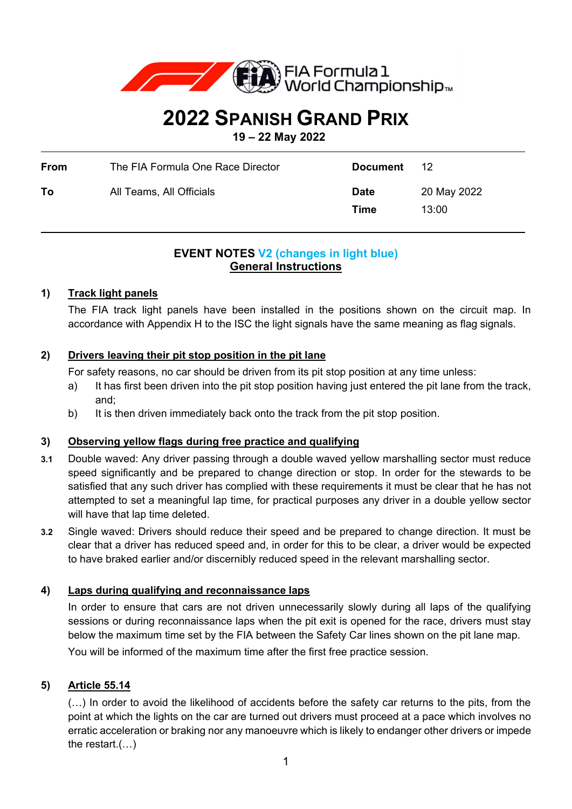

## **2022 SPANISH GRAND PRIX**

**19 – 22 May 2022** 

| From | The FIA Formula One Race Director | Document            | 12 <sup>°</sup>      |
|------|-----------------------------------|---------------------|----------------------|
| To   | All Teams, All Officials          | <b>Date</b><br>Time | 20 May 2022<br>13:00 |

## **EVENT NOTES V2 (changes in light blue) General Instructions**

## **1) Track light panels**

The FIA track light panels have been installed in the positions shown on the circuit map. In accordance with Appendix H to the ISC the light signals have the same meaning as flag signals.

## **2) Drivers leaving their pit stop position in the pit lane**

For safety reasons, no car should be driven from its pit stop position at any time unless:

- a) It has first been driven into the pit stop position having just entered the pit lane from the track, and;
- b) It is then driven immediately back onto the track from the pit stop position.

## **3) Observing yellow flags during free practice and qualifying**

- **3.1** Double waved: Any driver passing through a double waved yellow marshalling sector must reduce speed significantly and be prepared to change direction or stop. In order for the stewards to be satisfied that any such driver has complied with these requirements it must be clear that he has not attempted to set a meaningful lap time, for practical purposes any driver in a double yellow sector will have that lap time deleted.
- **3.2** Single waved: Drivers should reduce their speed and be prepared to change direction. It must be clear that a driver has reduced speed and, in order for this to be clear, a driver would be expected to have braked earlier and/or discernibly reduced speed in the relevant marshalling sector.

## **4) Laps during qualifying and reconnaissance laps**

In order to ensure that cars are not driven unnecessarily slowly during all laps of the qualifying sessions or during reconnaissance laps when the pit exit is opened for the race, drivers must stay below the maximum time set by the FIA between the Safety Car lines shown on the pit lane map. You will be informed of the maximum time after the first free practice session.

## **5) Article 55.14**

(…) In order to avoid the likelihood of accidents before the safety car returns to the pits, from the point at which the lights on the car are turned out drivers must proceed at a pace which involves no erratic acceleration or braking nor any manoeuvre which is likely to endanger other drivers or impede the restart.(…)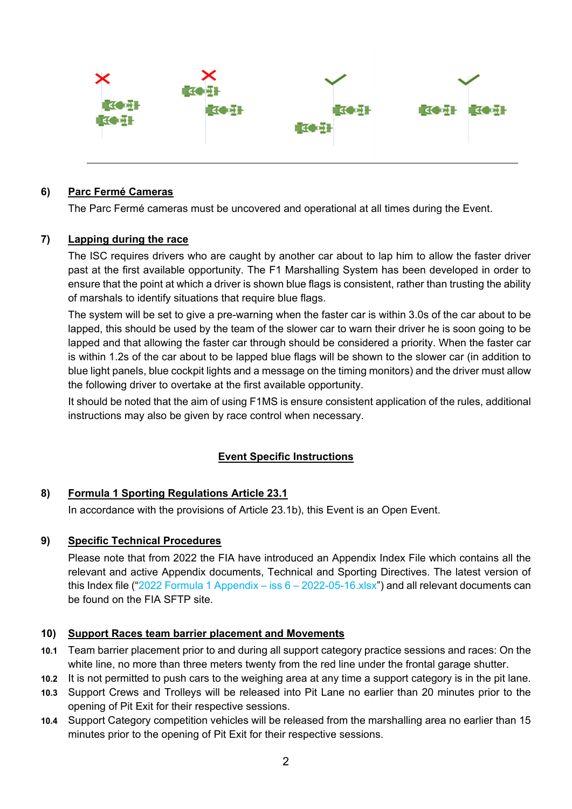

#### **6) Parc Fermé Cameras**

The Parc Fermé cameras must be uncovered and operational at all times during the Event.

#### **7) Lapping during the race**

The ISC requires drivers who are caught by another car about to lap him to allow the faster driver past at the first available opportunity. The F1 Marshalling System has been developed in order to ensure that the point at which a driver is shown blue flags is consistent, rather than trusting the ability of marshals to identify situations that require blue flags.

The system will be set to give a pre-warning when the faster car is within 3.0s of the car about to be lapped, this should be used by the team of the slower car to warn their driver he is soon going to be lapped and that allowing the faster car through should be considered a priority. When the faster car is within 1.2s of the car about to be lapped blue flags will be shown to the slower car (in addition to blue light panels, blue cockpit lights and a message on the timing monitors) and the driver must allow the following driver to overtake at the first available opportunity.

It should be noted that the aim of using F1MS is ensure consistent application of the rules, additional instructions may also be given by race control when necessary.

## **Event Specific Instructions**

#### **8) Formula 1 Sporting Regulations Article 23.1**

In accordance with the provisions of Article 23.1b), this Event is an Open Event.

#### **9) Specific Technical Procedures**

Please note that from 2022 the FIA have introduced an Appendix Index File which contains all the relevant and active Appendix documents, Technical and Sporting Directives. The latest version of this Index file ("2022 Formula 1 Appendix – iss  $6 - 2022 - 05 - 16$ .xlsx") and all relevant documents can be found on the FIA SFTP site.

#### **10) Support Races team barrier placement and Movements**

- **10.1** Team barrier placement prior to and during all support category practice sessions and races: On the white line, no more than three meters twenty from the red line under the frontal garage shutter.
- **10.2** It is not permitted to push cars to the weighing area at any time a support category is in the pit lane.
- **10.3** Support Crews and Trolleys will be released into Pit Lane no earlier than 20 minutes prior to the opening of Pit Exit for their respective sessions.
- **10.4** Support Category competition vehicles will be released from the marshalling area no earlier than 15 minutes prior to the opening of Pit Exit for their respective sessions.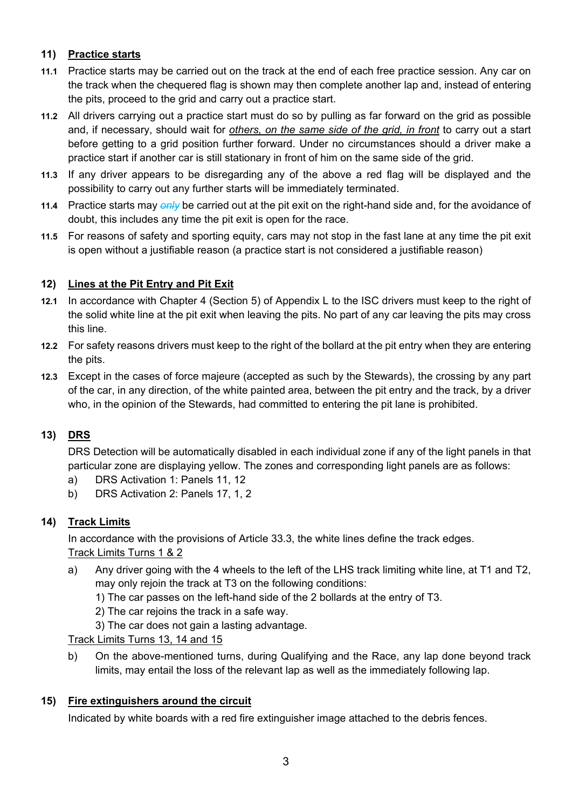## **11) Practice starts**

- **11.1** Practice starts may be carried out on the track at the end of each free practice session. Any car on the track when the chequered flag is shown may then complete another lap and, instead of entering the pits, proceed to the grid and carry out a practice start.
- **11.2** All drivers carrying out a practice start must do so by pulling as far forward on the grid as possible and, if necessary, should wait for *others, on the same side of the grid, in front* to carry out a start before getting to a grid position further forward. Under no circumstances should a driver make a practice start if another car is still stationary in front of him on the same side of the grid.
- **11.3** If any driver appears to be disregarding any of the above a red flag will be displayed and the possibility to carry out any further starts will be immediately terminated.
- **11.4** Practice starts may *only* be carried out at the pit exit on the right-hand side and, for the avoidance of doubt, this includes any time the pit exit is open for the race.
- **11.5** For reasons of safety and sporting equity, cars may not stop in the fast lane at any time the pit exit is open without a justifiable reason (a practice start is not considered a justifiable reason)

## **12) Lines at the Pit Entry and Pit Exit**

- **12.1** In accordance with Chapter 4 (Section 5) of Appendix L to the ISC drivers must keep to the right of the solid white line at the pit exit when leaving the pits. No part of any car leaving the pits may cross this line.
- **12.2** For safety reasons drivers must keep to the right of the bollard at the pit entry when they are entering the pits.
- **12.3** Except in the cases of force majeure (accepted as such by the Stewards), the crossing by any part of the car, in any direction, of the white painted area, between the pit entry and the track, by a driver who, in the opinion of the Stewards, had committed to entering the pit lane is prohibited.

## **13) DRS**

DRS Detection will be automatically disabled in each individual zone if any of the light panels in that particular zone are displaying yellow. The zones and corresponding light panels are as follows:

- a) DRS Activation 1: Panels 11, 12
- b) DRS Activation 2: Panels 17, 1, 2

## **14) Track Limits**

In accordance with the provisions of Article 33.3, the white lines define the track edges. Track Limits Turns 1 & 2

- a) Any driver going with the 4 wheels to the left of the LHS track limiting white line, at T1 and T2, may only rejoin the track at T3 on the following conditions:
	- 1) The car passes on the left-hand side of the 2 bollards at the entry of T3.
	- 2) The car rejoins the track in a safe way.
	- 3) The car does not gain a lasting advantage.

## Track Limits Turns 13, 14 and 15

b) On the above-mentioned turns, during Qualifying and the Race, any lap done beyond track limits, may entail the loss of the relevant lap as well as the immediately following lap.

## **15) Fire extinguishers around the circuit**

Indicated by white boards with a red fire extinguisher image attached to the debris fences.